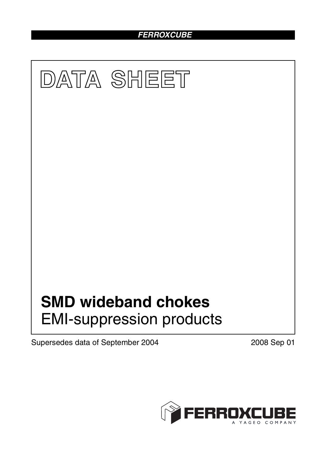# *FERROXCUBE*



Supersedes data of September 2004 2008 Sep 01

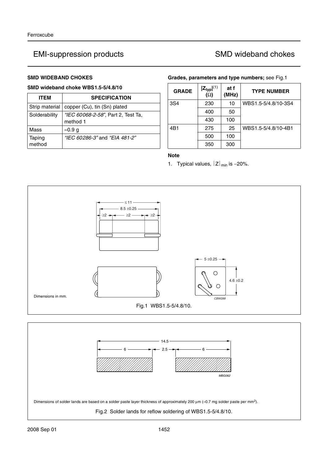### **SMD WIDEBAND CHOKES**

### **SMD wideband choke WBS1.5-5/4.8/10**

| <b>ITEM</b>      | <b>SPECIFICATION</b>                           |
|------------------|------------------------------------------------|
| Strip material   | copper (Cu), tin (Sn) plated                   |
| Solderability    | "IEC 60068-2-58", Part 2, Test Ta,<br>method 1 |
| Mass             | $\approx 0.9$ g                                |
| Taping<br>method | "IEC 60286-3" and "EIA 481-2"                  |

#### **Grades, parameters and type numbers;** see Fig.1

| <b>GRADE</b> | $ Z_{typ} ^{(1)}$<br>$\overline{(\Omega)}$ | at f<br>(MHz) | <b>TYPE NUMBER</b>  |
|--------------|--------------------------------------------|---------------|---------------------|
| 3S4          | 230                                        | 10            | WBS1.5-5/4.8/10-3S4 |
|              | 400                                        | 50            |                     |
|              | 430                                        | 100           |                     |
| 4B1          | 275                                        | 25            | WBS1.5-5/4.8/10-4B1 |
|              | 500                                        | 100           |                     |
|              | 350                                        | 300           |                     |

## **Note**

1. Typical values,  $|Z|_{min}$  is -20%.



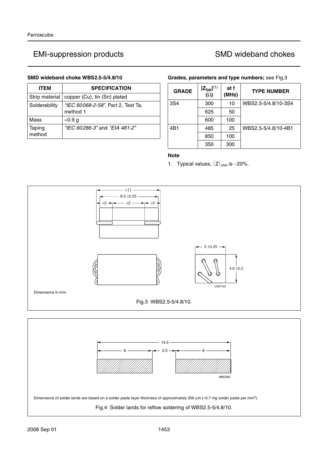### **SMD wideband choke WBS2.5-5/4.8/10**

| ITEM             | <b>SPECIFICATION</b>                           |
|------------------|------------------------------------------------|
| Strip material   | copper (Cu), tin (Sn) plated                   |
| Solderability    | "IEC 60068-2-58", Part 2, Test Ta,<br>method 1 |
| Mass             | ≈0.9 g                                         |
| Taping<br>method | "IEC 60286-3" and "EIA 481-2"                  |

### **Grades, parameters and type numbers;** see Fig.3

| <b>GRADE</b> | $ Z_{typ} ^{(1)}$<br>$(\Omega)$ | at f<br>(MHz) | <b>TYPE NUMBER</b>  |
|--------------|---------------------------------|---------------|---------------------|
| 3S4          | 300                             | 10            | WBS2.5-5/4.8/10-3S4 |
|              | 625                             | 50            |                     |
|              | 600                             | 100           |                     |
| 4B1          | 485                             | 25            | WBS2.5-5/4.8/10-4B1 |
|              | 850                             | 100           |                     |
|              | 350                             | 300           |                     |

## **Note**

1. Typical values,  $|Z|_{min}$  is -20%.



Dimensions of solder lands are based on a solder paste layer thickness of approximately 200 µm (≈0.7 mg solder paste per mm2).

Fig.4 Solder lands for reflow soldering of WBS2.5-5/4.8/10.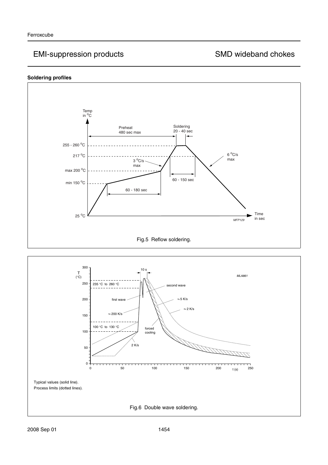## **Soldering profiles**



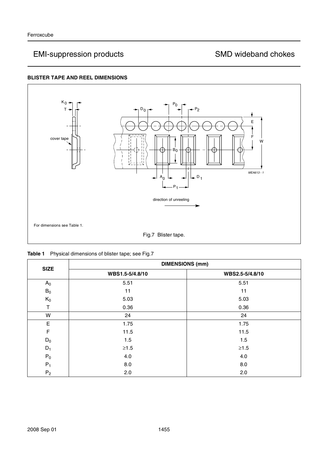## **BLISTER TAPE AND REEL DIMENSIONS**



|  | Table 1 Physical dimensions of blister tape; see Fig.7 |
|--|--------------------------------------------------------|
|--|--------------------------------------------------------|

|             | <b>DIMENSIONS (mm)</b> |                 |  |
|-------------|------------------------|-----------------|--|
| <b>SIZE</b> | WBS1.5-5/4.8/10        | WBS2.5-5/4.8/10 |  |
| $A_0$       | 5.51                   | 5.51            |  |
| $B_0$       | 11                     | 11              |  |
| $K_0$       | 5.03                   | 5.03            |  |
|             | 0.36                   | 0.36            |  |
| W           | 24                     | 24              |  |
| E           | 1.75                   | 1.75            |  |
| F           | 11.5                   | 11.5            |  |
| $D_0$       | 1.5                    | 1.5             |  |
| $D_1$       | $\geq1.5$              | $\geq1.5$       |  |
| ${\sf P}_0$ | 4.0                    | 4.0             |  |
| $P_1$       | 8.0                    | 8.0             |  |
| $P_2$       | 2.0                    | 2.0             |  |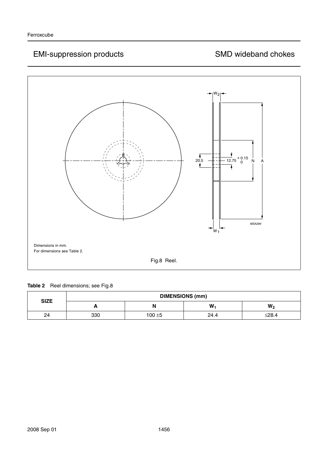

**Table 2** Reel dimensions; see Fig.8

| <b>DIMENSIONS (mm)</b><br><b>SIZE</b> |     |           |      |                |
|---------------------------------------|-----|-----------|------|----------------|
|                                       | ┍   | N         | W    | W <sub>2</sub> |
| 24                                    | 330 | $100 + 5$ | 24.4 | ≤28.4          |